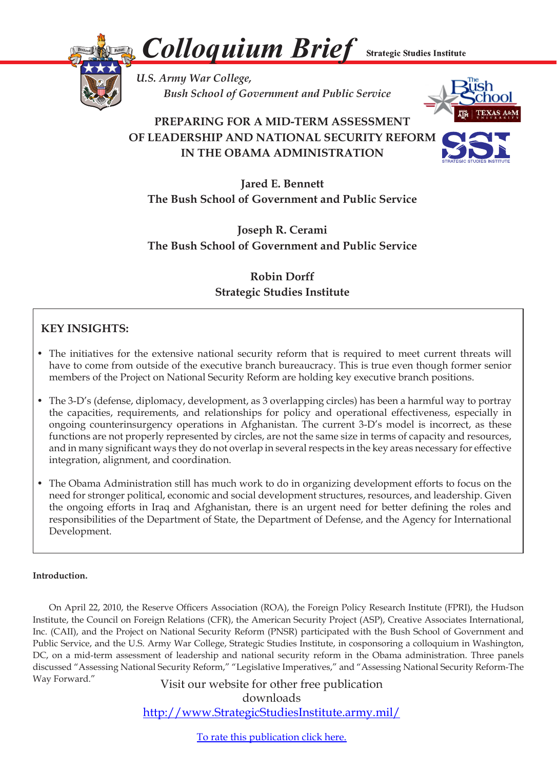*Colloquium Brief* **Strategic Studies Institute** 



*U.S. Army War College, Bush School of Government and Public Service* 

# **PREPARING FOR A MID-TERM ASSESSMENT OF LEADERSHIP AND NATIONAL SECURITY REFORM IN THE OBAMA ADMINISTRATION**



**Jared E. Bennett The Bush School of Government and Public Service**

**Joseph R. Cerami The Bush School of Government and Public Service**

## **Robin Dorff Strategic Studies Institute**

### **KEY INSIGHTS:**

- The initiatives for the extensive national security reform that is required to meet current threats will have to come from outside of the executive branch bureaucracy. This is true even though former senior members of the Project on National Security Reform are holding key executive branch positions.
- The 3-D's (defense, diplomacy, development, as 3 overlapping circles) has been a harmful way to portray the capacities, requirements, and relationships for policy and operational effectiveness, especially in ongoing counterinsurgency operations in Afghanistan. The current 3-D's model is incorrect, as these functions are not properly represented by circles, are not the same size in terms of capacity and resources, and in many significant ways they do not overlap in several respects in the key areas necessary for effective integration, alignment, and coordination.
- The Obama Administration still has much work to do in organizing development efforts to focus on the need for stronger political, economic and social development structures, resources, and leadership. Given the ongoing efforts in Iraq and Afghanistan, there is an urgent need for better defining the roles and responsibilities of the Department of State, the Department of Defense, and the Agency for International Development.

### **Introduction.**

 On April 22, 2010, the Reserve Officers Association (ROA), the Foreign Policy Research Institute (FPRI), the Hudson Institute, the Council on Foreign Relations (CFR), the American Security Project (ASP), Creative Associates International, Inc. (CAII), and the Project on National Security Reform (PNSR) participated with the Bush School of Government and Public Service, and the U.S. Army War College, Strategic Studies Institute, in cosponsoring a colloquium in Washington, DC, on a mid-term assessment of leadership and national security reform in the Obama administration. Three panels discussed "Assessing National Security Reform," "Legislative Imperatives," and "Assessing National Security Reform-The Way Forward." Visit our website for other free publication

downloads http://www.StrategicStudiesInstitute.army.mil/

To rate this [publication](http://www.strategicstudiesinstitute.army.mil/pubs/display.cfm?pubID=1018) click here.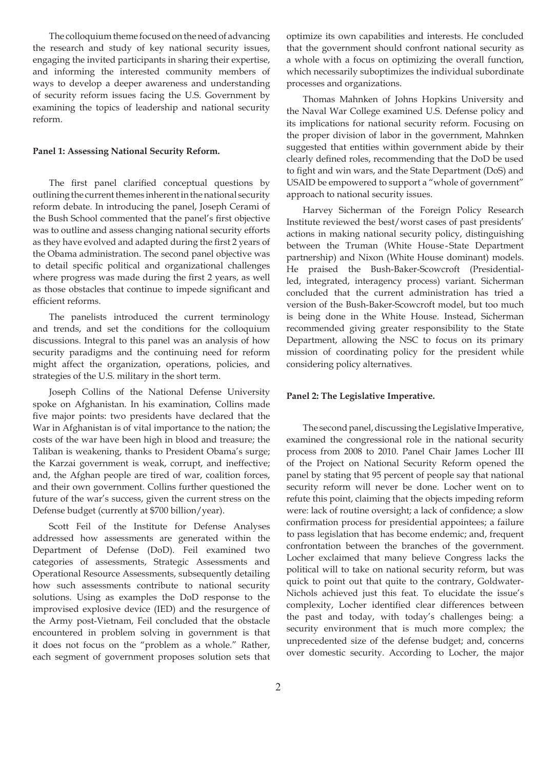The colloquium theme focused on the need of advancing the research and study of key national security issues, engaging the invited participants in sharing their expertise, and informing the interested community members of ways to develop a deeper awareness and understanding of security reform issues facing the U.S. Government by examining the topics of leadership and national security reform.

#### **Panel 1: Assessing National Security Reform.**

 The first panel clarified conceptual questions by outlining the current themes inherent in the national security reform debate. In introducing the panel, Joseph Cerami of the Bush School commented that the panel's first objective was to outline and assess changing national security efforts as they have evolved and adapted during the first 2 years of the Obama administration. The second panel objective was to detail specific political and organizational challenges where progress was made during the first 2 years, as well as those obstacles that continue to impede significant and efficient reforms.

 The panelists introduced the current terminology and trends, and set the conditions for the colloquium discussions. Integral to this panel was an analysis of how security paradigms and the continuing need for reform might affect the organization, operations, policies, and strategies of the U.S. military in the short term.

 Joseph Collins of the National Defense University spoke on Afghanistan. In his examination, Collins made five major points: two presidents have declared that the War in Afghanistan is of vital importance to the nation; the costs of the war have been high in blood and treasure; the Taliban is weakening, thanks to President Obama's surge; the Karzai government is weak, corrupt, and ineffective; and, the Afghan people are tired of war, coalition forces, and their own government. Collins further questioned the future of the war's success, given the current stress on the Defense budget (currently at \$700 billion/year).

 Scott Feil of the Institute for Defense Analyses addressed how assessments are generated within the Department of Defense (DoD). Feil examined two categories of assessments, Strategic Assessments and Operational Resource Assessments, subsequently detailing how such assessments contribute to national security solutions. Using as examples the DoD response to the improvised explosive device (IED) and the resurgence of the Army post-Vietnam, Feil concluded that the obstacle encountered in problem solving in government is that it does not focus on the "problem as a whole." Rather, each segment of government proposes solution sets that

optimize its own capabilities and interests. He concluded that the government should confront national security as a whole with a focus on optimizing the overall function, which necessarily suboptimizes the individual subordinate processes and organizations.

 Thomas Mahnken of Johns Hopkins University and the Naval War College examined U.S. Defense policy and its implications for national security reform. Focusing on the proper division of labor in the government, Mahnken suggested that entities within government abide by their clearly defined roles, recommending that the DoD be used to fight and win wars, and the State Department (DoS) and USAID be empowered to support a "whole of government" approach to national security issues.

 Harvey Sicherman of the Foreign Policy Research Institute reviewed the best/worst cases of past presidents' actions in making national security policy, distinguishing between the Truman (White House-State Department partnership) and Nixon (White House dominant) models. He praised the Bush-Baker-Scowcroft (Presidentialled, integrated, interagency process) variant. Sicherman concluded that the current administration has tried a version of the Bush-Baker-Scowcroft model, but too much is being done in the White House. Instead, Sicherman recommended giving greater responsibility to the State Department, allowing the NSC to focus on its primary mission of coordinating policy for the president while considering policy alternatives.

#### **Panel 2: The Legislative Imperative.**

The second panel, discussing the Legislative Imperative, examined the congressional role in the national security process from 2008 to 2010. Panel Chair James Locher III of the Project on National Security Reform opened the panel by stating that 95 percent of people say that national security reform will never be done. Locher went on to refute this point, claiming that the objects impeding reform were: lack of routine oversight; a lack of confidence; a slow confirmation process for presidential appointees; a failure to pass legislation that has become endemic; and, frequent confrontation between the branches of the government. Locher exclaimed that many believe Congress lacks the political will to take on national security reform, but was quick to point out that quite to the contrary, Goldwater-Nichols achieved just this feat. To elucidate the issue's complexity, Locher identified clear differences between the past and today, with today's challenges being: a security environment that is much more complex; the unprecedented size of the defense budget; and, concerns over domestic security. According to Locher, the major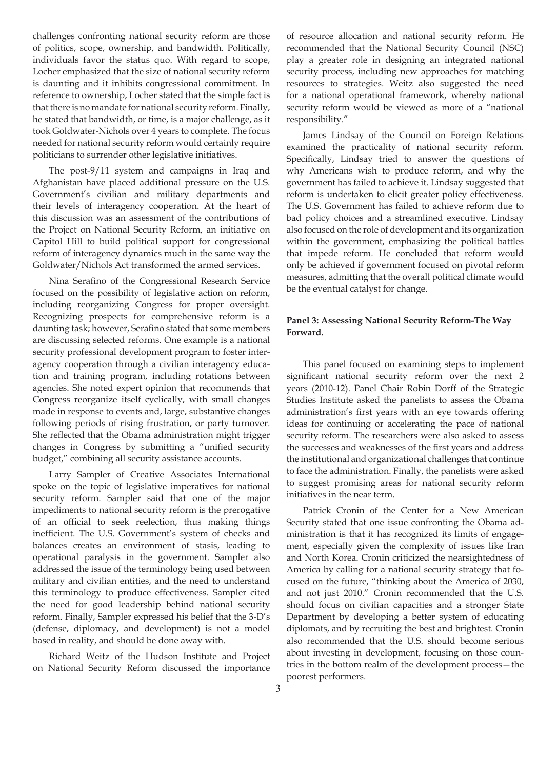challenges confronting national security reform are those of politics, scope, ownership, and bandwidth. Politically, individuals favor the status quo. With regard to scope, Locher emphasized that the size of national security reform is daunting and it inhibits congressional commitment. In reference to ownership, Locher stated that the simple fact is that there is no mandate for national security reform. Finally, he stated that bandwidth, or time, is a major challenge, as it took Goldwater-Nichols over 4 years to complete. The focus needed for national security reform would certainly require politicians to surrender other legislative initiatives.

 The post-9/11 system and campaigns in Iraq and Afghanistan have placed additional pressure on the U.S. Government's civilian and military departments and their levels of interagency cooperation. At the heart of this discussion was an assessment of the contributions of the Project on National Security Reform, an initiative on Capitol Hill to build political support for congressional reform of interagency dynamics much in the same way the Goldwater/Nichols Act transformed the armed services.

 Nina Serafino of the Congressional Research Service focused on the possibility of legislative action on reform, including reorganizing Congress for proper oversight. Recognizing prospects for comprehensive reform is a daunting task; however, Serafino stated that some members are discussing selected reforms. One example is a national security professional development program to foster interagency cooperation through a civilian interagency education and training program, including rotations between agencies. She noted expert opinion that recommends that Congress reorganize itself cyclically, with small changes made in response to events and, large, substantive changes following periods of rising frustration, or party turnover. She reflected that the Obama administration might trigger changes in Congress by submitting a "unified security budget," combining all security assistance accounts.

 Larry Sampler of Creative Associates International spoke on the topic of legislative imperatives for national security reform. Sampler said that one of the major impediments to national security reform is the prerogative of an official to seek reelection, thus making things inefficient. The U.S. Government's system of checks and balances creates an environment of stasis, leading to operational paralysis in the government. Sampler also addressed the issue of the terminology being used between military and civilian entities, and the need to understand this terminology to produce effectiveness. Sampler cited the need for good leadership behind national security reform. Finally, Sampler expressed his belief that the 3-D's (defense, diplomacy, and development) is not a model based in reality, and should be done away with.

 Richard Weitz of the Hudson Institute and Project on National Security Reform discussed the importance of resource allocation and national security reform. He recommended that the National Security Council (NSC) play a greater role in designing an integrated national security process, including new approaches for matching resources to strategies. Weitz also suggested the need for a national operational framework, whereby national security reform would be viewed as more of a "national responsibility."

 James Lindsay of the Council on Foreign Relations examined the practicality of national security reform. Specifically, Lindsay tried to answer the questions of why Americans wish to produce reform, and why the government has failed to achieve it. Lindsay suggested that reform is undertaken to elicit greater policy effectiveness. The U.S. Government has failed to achieve reform due to bad policy choices and a streamlined executive. Lindsay also focused on the role of development and its organization within the government, emphasizing the political battles that impede reform. He concluded that reform would only be achieved if government focused on pivotal reform measures, admitting that the overall political climate would be the eventual catalyst for change.

### **Panel 3: Assessing National Security Reform-The Way Forward.**

 This panel focused on examining steps to implement significant national security reform over the next 2 years (2010-12). Panel Chair Robin Dorff of the Strategic Studies Institute asked the panelists to assess the Obama administration's first years with an eye towards offering ideas for continuing or accelerating the pace of national security reform. The researchers were also asked to assess the successes and weaknesses of the first years and address the institutional and organizational challenges that continue to face the administration. Finally, the panelists were asked to suggest promising areas for national security reform initiatives in the near term.

 Patrick Cronin of the Center for a New American Security stated that one issue confronting the Obama administration is that it has recognized its limits of engagement, especially given the complexity of issues like Iran and North Korea. Cronin criticized the nearsightedness of America by calling for a national security strategy that focused on the future, "thinking about the America of 2030, and not just 2010." Cronin recommended that the U.S. should focus on civilian capacities and a stronger State Department by developing a better system of educating diplomats, and by recruiting the best and brightest. Cronin also recommended that the U.S. should become serious about investing in development, focusing on those countries in the bottom realm of the development process—the poorest performers.